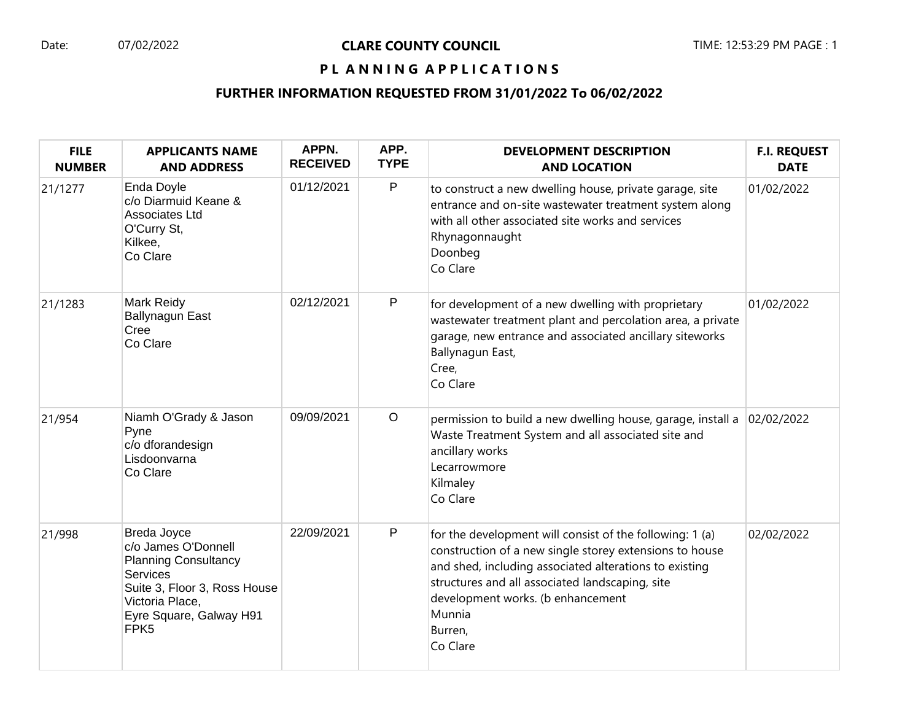# PL ANNING APPLICATIONS

# **FURTHER INFORMATION REQUESTED FROM 31/01/2022 To 06/02/2022**

| <b>FILE</b><br><b>NUMBER</b> | <b>APPLICANTS NAME</b><br><b>AND ADDRESS</b>                                                                                                                                           | APPN.<br><b>RECEIVED</b> | APP.<br><b>TYPE</b> | <b>DEVELOPMENT DESCRIPTION</b><br><b>AND LOCATION</b>                                                                                                                                                                                                                                                  | <b>F.I. REQUEST</b><br><b>DATE</b> |
|------------------------------|----------------------------------------------------------------------------------------------------------------------------------------------------------------------------------------|--------------------------|---------------------|--------------------------------------------------------------------------------------------------------------------------------------------------------------------------------------------------------------------------------------------------------------------------------------------------------|------------------------------------|
| 21/1277                      | Enda Doyle<br>c/o Diarmuid Keane &<br>Associates Ltd<br>O'Curry St,<br>Kilkee,<br>Co Clare                                                                                             | 01/12/2021               | $\mathsf P$         | to construct a new dwelling house, private garage, site<br>entrance and on-site wastewater treatment system along<br>with all other associated site works and services<br>Rhynagonnaught<br>Doonbeg<br>Co Clare                                                                                        | 01/02/2022                         |
| 21/1283                      | Mark Reidy<br><b>Ballynagun East</b><br>Cree<br>Co Clare                                                                                                                               | 02/12/2021               | P                   | for development of a new dwelling with proprietary<br>wastewater treatment plant and percolation area, a private<br>garage, new entrance and associated ancillary siteworks<br>Ballynagun East,<br>Cree,<br>Co Clare                                                                                   | 01/02/2022                         |
| 21/954                       | Niamh O'Grady & Jason<br>Pyne<br>c/o dforandesign<br>Lisdoonvarna<br>Co Clare                                                                                                          | 09/09/2021               | $\circ$             | permission to build a new dwelling house, garage, install a<br>Waste Treatment System and all associated site and<br>ancillary works<br>Lecarrowmore<br>Kilmaley<br>Co Clare                                                                                                                           | 02/02/2022                         |
| 21/998                       | Breda Joyce<br>c/o James O'Donnell<br><b>Planning Consultancy</b><br><b>Services</b><br>Suite 3, Floor 3, Ross House<br>Victoria Place,<br>Eyre Square, Galway H91<br>FPK <sub>5</sub> | 22/09/2021               | $\mathsf P$         | for the development will consist of the following: 1 (a)<br>construction of a new single storey extensions to house<br>and shed, including associated alterations to existing<br>structures and all associated landscaping, site<br>development works. (b enhancement<br>Munnia<br>Burren,<br>Co Clare | 02/02/2022                         |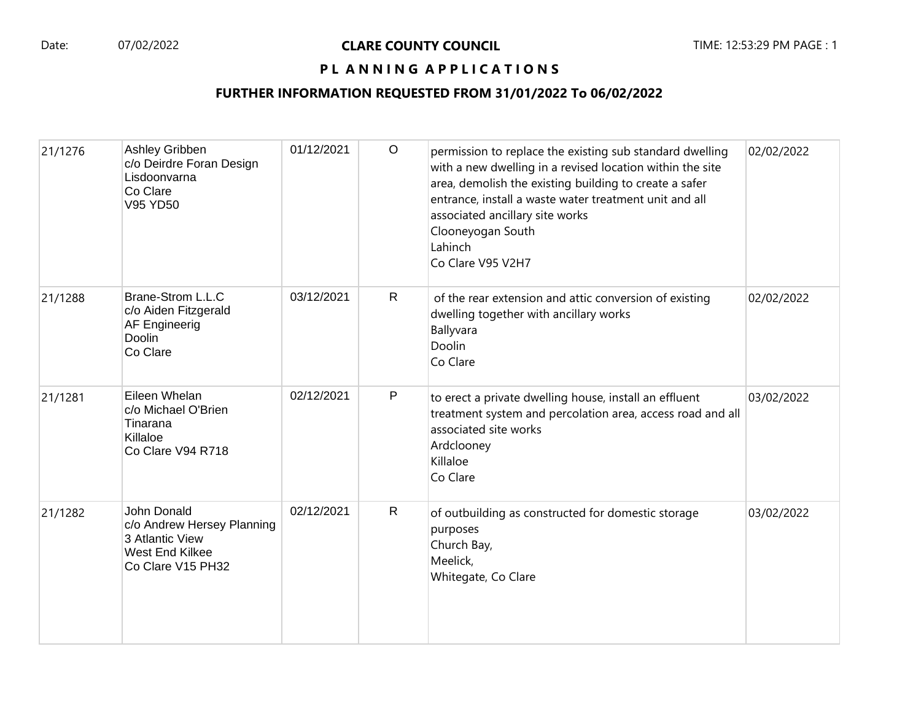# PL ANNING APPLICATIONS

## **FURTHER INFORMATION REQUESTED FROM 31/01/2022 To 06/02/2022**

| 21/1276 | Ashley Gribben<br>c/o Deirdre Foran Design<br>Lisdoonvarna<br>Co Clare<br>V95 YD50                   | 01/12/2021 | $\circ$      | permission to replace the existing sub standard dwelling<br>with a new dwelling in a revised location within the site<br>area, demolish the existing building to create a safer<br>entrance, install a waste water treatment unit and all<br>associated ancillary site works<br>Clooneyogan South<br>Lahinch<br>Co Clare V95 V2H7 | 02/02/2022 |
|---------|------------------------------------------------------------------------------------------------------|------------|--------------|-----------------------------------------------------------------------------------------------------------------------------------------------------------------------------------------------------------------------------------------------------------------------------------------------------------------------------------|------------|
| 21/1288 | Brane-Strom L.L.C<br>c/o Aiden Fitzgerald<br>AF Engineerig<br>Doolin<br>Co Clare                     | 03/12/2021 | $\mathsf{R}$ | of the rear extension and attic conversion of existing<br>dwelling together with ancillary works<br>Ballyvara<br>Doolin<br>Co Clare                                                                                                                                                                                               | 02/02/2022 |
| 21/1281 | Eileen Whelan<br>c/o Michael O'Brien<br>Tinarana<br>Killaloe<br>Co Clare V94 R718                    | 02/12/2021 | $\mathsf{P}$ | to erect a private dwelling house, install an effluent<br>treatment system and percolation area, access road and all<br>associated site works<br>Ardclooney<br>Killaloe<br>Co Clare                                                                                                                                               | 03/02/2022 |
| 21/1282 | John Donald<br>c/o Andrew Hersey Planning<br>3 Atlantic View<br>West End Kilkee<br>Co Clare V15 PH32 | 02/12/2021 | $\mathsf{R}$ | of outbuilding as constructed for domestic storage<br>purposes<br>Church Bay,<br>Meelick,<br>Whitegate, Co Clare                                                                                                                                                                                                                  | 03/02/2022 |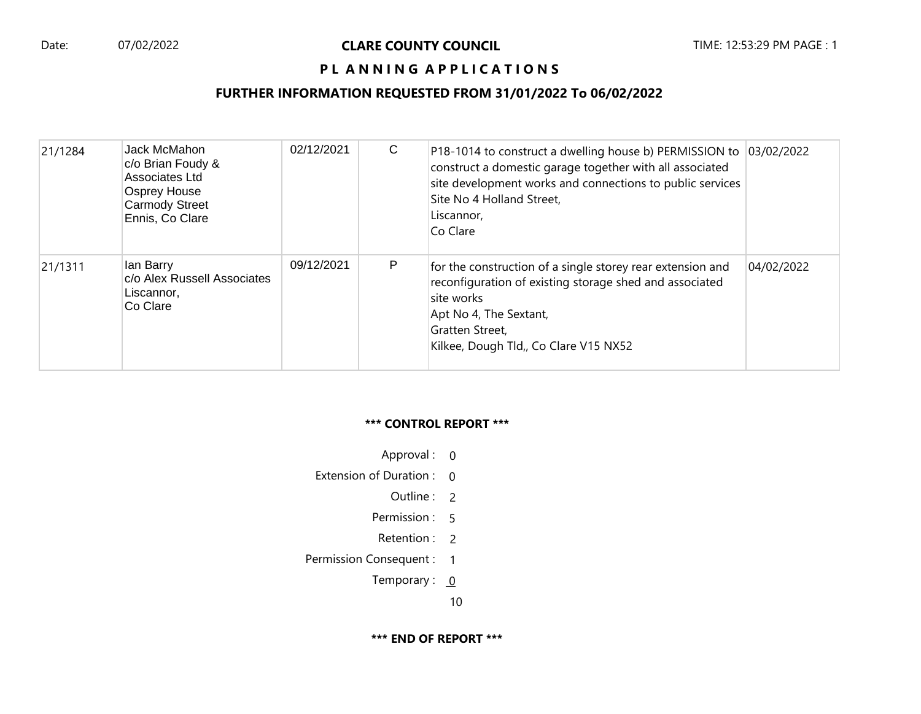# **PL ANNING APPLICATIONS**

# **FURTHER INFORMATION REQUESTED FROM 31/01/2022 To 06/02/2022**

| 21/1284 | Jack McMahon<br>c/o Brian Foudy &<br>Associates Ltd<br><b>Osprey House</b><br><b>Carmody Street</b><br>Ennis, Co Clare | 02/12/2021 | C | P18-1014 to construct a dwelling house b) PERMISSION to 03/02/2022<br>construct a domestic garage together with all associated<br>site development works and connections to public services<br>Site No 4 Holland Street,<br>Liscannor,<br>Co Clare |            |
|---------|------------------------------------------------------------------------------------------------------------------------|------------|---|----------------------------------------------------------------------------------------------------------------------------------------------------------------------------------------------------------------------------------------------------|------------|
| 21/1311 | lan Barry<br>c/o Alex Russell Associates<br>Liscannor,<br>Co Clare                                                     | 09/12/2021 | P | for the construction of a single storey rear extension and<br>reconfiguration of existing storage shed and associated<br>site works<br>Apt No 4, The Sextant,<br>Gratten Street,<br>Kilkee, Dough Tld,, Co Clare V15 NX52                          | 04/02/2022 |

#### **\*\*\* CONTROL REPORT \*\*\***

- Approval : 0
- Extension of Duration : 0
	- Outline : 2
	- Permission : 5
	- Retention : 2
- Permission Consequent : 1
	- Temporary :  $0$

10

**\*\*\* END OF REPORT \*\*\***